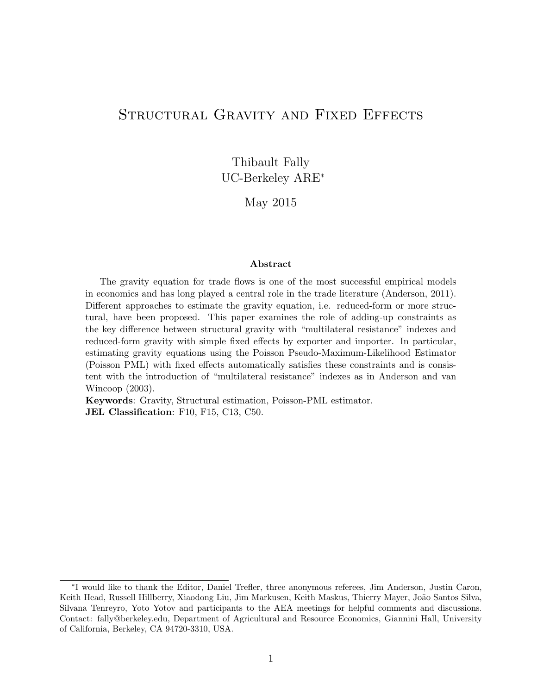# STRUCTURAL GRAVITY AND FIXED EFFECTS

Thibault Fally UC-Berkeley ARE<sup>∗</sup>

May 2015

#### Abstract

The gravity equation for trade flows is one of the most successful empirical models in economics and has long played a central role in the trade literature (Anderson, 2011). Different approaches to estimate the gravity equation, i.e. reduced-form or more structural, have been proposed. This paper examines the role of adding-up constraints as the key difference between structural gravity with "multilateral resistance" indexes and reduced-form gravity with simple fixed effects by exporter and importer. In particular, estimating gravity equations using the Poisson Pseudo-Maximum-Likelihood Estimator (Poisson PML) with fixed effects automatically satisfies these constraints and is consistent with the introduction of "multilateral resistance" indexes as in Anderson and van Wincoop (2003).

Keywords: Gravity, Structural estimation, Poisson-PML estimator. JEL Classification: F10, F15, C13, C50.

<sup>∗</sup> I would like to thank the Editor, Daniel Trefler, three anonymous referees, Jim Anderson, Justin Caron, Keith Head, Russell Hillberry, Xiaodong Liu, Jim Markusen, Keith Maskus, Thierry Mayer, João Santos Silva, Silvana Tenreyro, Yoto Yotov and participants to the AEA meetings for helpful comments and discussions. Contact: fally@berkeley.edu, Department of Agricultural and Resource Economics, Giannini Hall, University of California, Berkeley, CA 94720-3310, USA.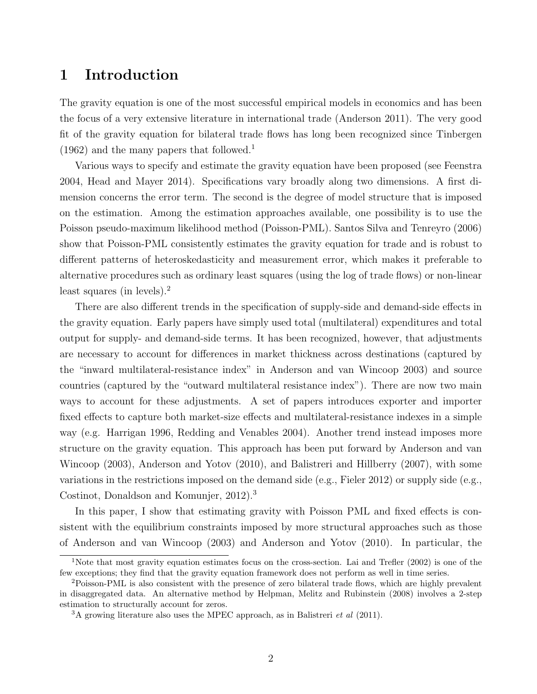# 1 Introduction

The gravity equation is one of the most successful empirical models in economics and has been the focus of a very extensive literature in international trade (Anderson 2011). The very good fit of the gravity equation for bilateral trade flows has long been recognized since Tinbergen  $(1962)$  and the many papers that followed.<sup>1</sup>

Various ways to specify and estimate the gravity equation have been proposed (see Feenstra 2004, Head and Mayer 2014). Specifications vary broadly along two dimensions. A first dimension concerns the error term. The second is the degree of model structure that is imposed on the estimation. Among the estimation approaches available, one possibility is to use the Poisson pseudo-maximum likelihood method (Poisson-PML). Santos Silva and Tenreyro (2006) show that Poisson-PML consistently estimates the gravity equation for trade and is robust to different patterns of heteroskedasticity and measurement error, which makes it preferable to alternative procedures such as ordinary least squares (using the log of trade flows) or non-linear least squares (in levels).<sup>2</sup>

There are also different trends in the specification of supply-side and demand-side effects in the gravity equation. Early papers have simply used total (multilateral) expenditures and total output for supply- and demand-side terms. It has been recognized, however, that adjustments are necessary to account for differences in market thickness across destinations (captured by the "inward multilateral-resistance index" in Anderson and van Wincoop 2003) and source countries (captured by the "outward multilateral resistance index"). There are now two main ways to account for these adjustments. A set of papers introduces exporter and importer fixed effects to capture both market-size effects and multilateral-resistance indexes in a simple way (e.g. Harrigan 1996, Redding and Venables 2004). Another trend instead imposes more structure on the gravity equation. This approach has been put forward by Anderson and van Wincoop (2003), Anderson and Yotov (2010), and Balistreri and Hillberry (2007), with some variations in the restrictions imposed on the demand side (e.g., Fieler 2012) or supply side (e.g., Costinot, Donaldson and Komunjer, 2012).<sup>3</sup>

In this paper, I show that estimating gravity with Poisson PML and fixed effects is consistent with the equilibrium constraints imposed by more structural approaches such as those of Anderson and van Wincoop (2003) and Anderson and Yotov (2010). In particular, the

<sup>&</sup>lt;sup>1</sup>Note that most gravity equation estimates focus on the cross-section. Lai and Trefler (2002) is one of the few exceptions; they find that the gravity equation framework does not perform as well in time series.

<sup>2</sup>Poisson-PML is also consistent with the presence of zero bilateral trade flows, which are highly prevalent in disaggregated data. An alternative method by Helpman, Melitz and Rubinstein (2008) involves a 2-step estimation to structurally account for zeros.

<sup>&</sup>lt;sup>3</sup>A growing literature also uses the MPEC approach, as in Balistreri *et al* (2011).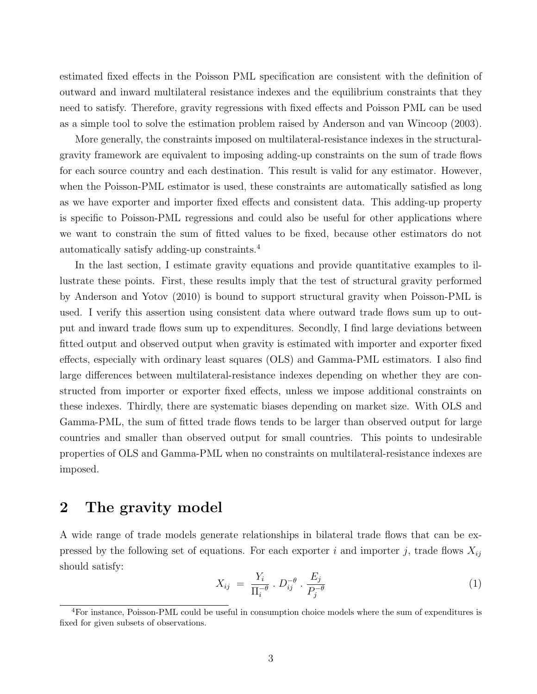estimated fixed effects in the Poisson PML specification are consistent with the definition of outward and inward multilateral resistance indexes and the equilibrium constraints that they need to satisfy. Therefore, gravity regressions with fixed effects and Poisson PML can be used as a simple tool to solve the estimation problem raised by Anderson and van Wincoop (2003).

More generally, the constraints imposed on multilateral-resistance indexes in the structuralgravity framework are equivalent to imposing adding-up constraints on the sum of trade flows for each source country and each destination. This result is valid for any estimator. However, when the Poisson-PML estimator is used, these constraints are automatically satisfied as long as we have exporter and importer fixed effects and consistent data. This adding-up property is specific to Poisson-PML regressions and could also be useful for other applications where we want to constrain the sum of fitted values to be fixed, because other estimators do not automatically satisfy adding-up constraints.<sup>4</sup>

In the last section, I estimate gravity equations and provide quantitative examples to illustrate these points. First, these results imply that the test of structural gravity performed by Anderson and Yotov (2010) is bound to support structural gravity when Poisson-PML is used. I verify this assertion using consistent data where outward trade flows sum up to output and inward trade flows sum up to expenditures. Secondly, I find large deviations between fitted output and observed output when gravity is estimated with importer and exporter fixed effects, especially with ordinary least squares (OLS) and Gamma-PML estimators. I also find large differences between multilateral-resistance indexes depending on whether they are constructed from importer or exporter fixed effects, unless we impose additional constraints on these indexes. Thirdly, there are systematic biases depending on market size. With OLS and Gamma-PML, the sum of fitted trade flows tends to be larger than observed output for large countries and smaller than observed output for small countries. This points to undesirable properties of OLS and Gamma-PML when no constraints on multilateral-resistance indexes are imposed.

## 2 The gravity model

A wide range of trade models generate relationships in bilateral trade flows that can be expressed by the following set of equations. For each exporter i and importer j, trade flows  $X_{ij}$ should satisfy:

$$
X_{ij} = \frac{Y_i}{\Pi_i^{-\theta}} \cdot D_{ij}^{-\theta} \cdot \frac{E_j}{P_j^{-\theta}}
$$
\n
$$
\tag{1}
$$

<sup>4</sup>For instance, Poisson-PML could be useful in consumption choice models where the sum of expenditures is fixed for given subsets of observations.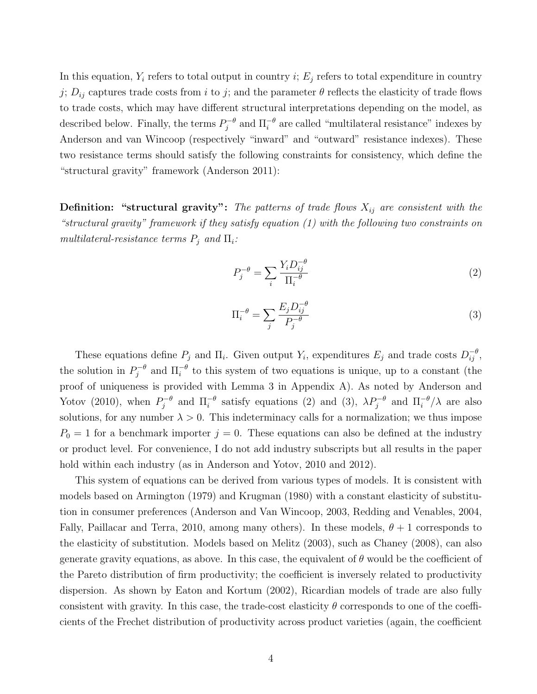In this equation,  $Y_i$  refers to total output in country i;  $E_j$  refers to total expenditure in country j;  $D_{ij}$  captures trade costs from i to j; and the parameter  $\theta$  reflects the elasticity of trade flows to trade costs, which may have different structural interpretations depending on the model, as described below. Finally, the terms  $P_j^{-\theta}$  and  $\Pi_i^{-\theta}$  are called "multilateral resistance" indexes by Anderson and van Wincoop (respectively "inward" and "outward" resistance indexes). These two resistance terms should satisfy the following constraints for consistency, which define the "structural gravity" framework (Anderson 2011):

**Definition:** "structural gravity": The patterns of trade flows  $X_{ij}$  are consistent with the "structural gravity" framework if they satisfy equation (1) with the following two constraints on multilateral-resistance terms  $P_j$  and  $\Pi_i$ :

$$
P_j^{-\theta} = \sum_i \frac{Y_i D_{ij}^{-\theta}}{\Pi_i^{-\theta}}
$$
\n
$$
\tag{2}
$$

$$
\Pi_i^{-\theta} = \sum_j \frac{E_j D_{ij}^{-\theta}}{P_j^{-\theta}}
$$
\n(3)

These equations define  $P_j$  and  $\Pi_i$ . Given output  $Y_i$ , expenditures  $E_j$  and trade costs  $D_{ij}^{-\theta}$ , the solution in  $P_j^{-\theta}$  and  $\Pi_i^{-\theta}$  to this system of two equations is unique, up to a constant (the proof of uniqueness is provided with Lemma 3 in Appendix A). As noted by Anderson and Yotov (2010), when  $P_j^{-\theta}$  and  $\Pi_i^{-\theta}$  satisfy equations (2) and (3),  $\lambda P_j^{-\theta}$  and  $\Pi_i^{-\theta}/\lambda$  are also solutions, for any number  $\lambda > 0$ . This indeterminacy calls for a normalization; we thus impose  $P_0 = 1$  for a benchmark importer  $j = 0$ . These equations can also be defined at the industry or product level. For convenience, I do not add industry subscripts but all results in the paper hold within each industry (as in Anderson and Yotov, 2010 and 2012).

This system of equations can be derived from various types of models. It is consistent with models based on Armington (1979) and Krugman (1980) with a constant elasticity of substitution in consumer preferences (Anderson and Van Wincoop, 2003, Redding and Venables, 2004, Fally, Paillacar and Terra, 2010, among many others). In these models,  $\theta + 1$  corresponds to the elasticity of substitution. Models based on Melitz (2003), such as Chaney (2008), can also generate gravity equations, as above. In this case, the equivalent of  $\theta$  would be the coefficient of the Pareto distribution of firm productivity; the coefficient is inversely related to productivity dispersion. As shown by Eaton and Kortum (2002), Ricardian models of trade are also fully consistent with gravity. In this case, the trade-cost elasticity  $\theta$  corresponds to one of the coefficients of the Frechet distribution of productivity across product varieties (again, the coefficient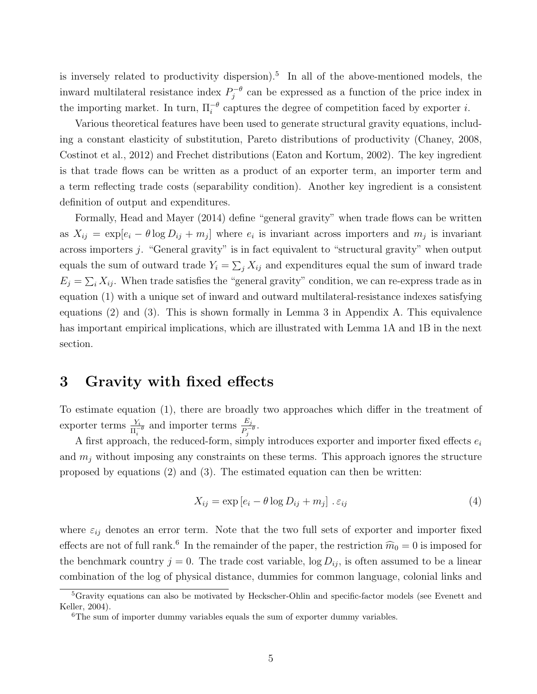is inversely related to productivity dispersion).<sup>5</sup> In all of the above-mentioned models, the inward multilateral resistance index  $P_j^{-\theta}$  can be expressed as a function of the price index in the importing market. In turn,  $\Pi_i^{-\theta}$  captures the degree of competition faced by exporter *i*.

Various theoretical features have been used to generate structural gravity equations, including a constant elasticity of substitution, Pareto distributions of productivity (Chaney, 2008, Costinot et al., 2012) and Frechet distributions (Eaton and Kortum, 2002). The key ingredient is that trade flows can be written as a product of an exporter term, an importer term and a term reflecting trade costs (separability condition). Another key ingredient is a consistent definition of output and expenditures.

Formally, Head and Mayer (2014) define "general gravity" when trade flows can be written as  $X_{ij} = \exp[e_i - \theta \log D_{ij} + m_j]$  where  $e_i$  is invariant across importers and  $m_j$  is invariant across importers  $j$ . "General gravity" is in fact equivalent to "structural gravity" when output equals the sum of outward trade  $Y_i = \sum_j X_{ij}$  and expenditures equal the sum of inward trade  $E_j = \sum_i X_{ij}$ . When trade satisfies the "general gravity" condition, we can re-express trade as in equation (1) with a unique set of inward and outward multilateral-resistance indexes satisfying equations (2) and (3). This is shown formally in Lemma 3 in Appendix A. This equivalence has important empirical implications, which are illustrated with Lemma 1A and 1B in the next section.

## 3 Gravity with fixed effects

To estimate equation (1), there are broadly two approaches which differ in the treatment of exporter terms  $\frac{Y_i}{\Pi_i^{-\theta}}$  and importer terms  $\frac{E_j}{P_j^{-\theta}}$ .

A first approach, the reduced-form, simply introduces exporter and importer fixed effects  $e_i$ and  $m_i$  without imposing any constraints on these terms. This approach ignores the structure proposed by equations (2) and (3). The estimated equation can then be written:

$$
X_{ij} = \exp\left[e_i - \theta \log D_{ij} + m_j\right] \cdot \varepsilon_{ij} \tag{4}
$$

where  $\varepsilon_{ij}$  denotes an error term. Note that the two full sets of exporter and importer fixed effects are not of full rank.<sup>6</sup> In the remainder of the paper, the restriction  $\widehat{m}_0 = 0$  is imposed for the benchmark country  $j = 0$ . The trade cost variable,  $\log D_{ij}$ , is often assumed to be a linear combination of the log of physical distance, dummies for common language, colonial links and

<sup>5</sup>Gravity equations can also be motivated by Heckscher-Ohlin and specific-factor models (see Evenett and Keller, 2004).

 ${}^{6}$ The sum of importer dummy variables equals the sum of exporter dummy variables.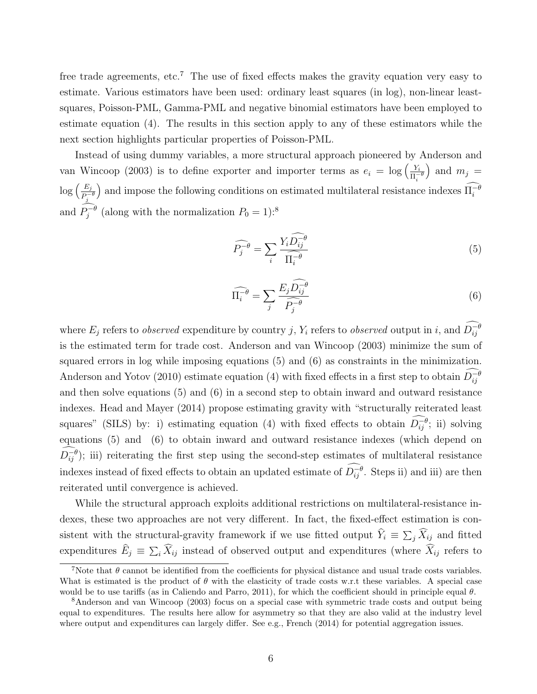free trade agreements, etc.<sup>7</sup> The use of fixed effects makes the gravity equation very easy to estimate. Various estimators have been used: ordinary least squares (in log), non-linear leastsquares, Poisson-PML, Gamma-PML and negative binomial estimators have been employed to estimate equation (4). The results in this section apply to any of these estimators while the next section highlights particular properties of Poisson-PML.

Instead of using dummy variables, a more structural approach pioneered by Anderson and van Wincoop (2003) is to define exporter and importer terms as  $e_i = \log \left( \frac{Y_i}{n} \right)$  $\overline{\Pi_{i}^{-\theta}}$ ) and  $m_j =$  $\log\left(\frac{E_j}{P}\right)$  $P_j^{-\theta}$ ) and impose the following conditions on estimated multilateral resistance indexes  $\widehat{\Pi}_i^{-\theta}$ and  $P_j^{-\theta}$  (along with the normalization  $P_0 = 1$ ):<sup>8</sup>

$$
\widehat{P_j^{-\theta}} = \sum_{i} \frac{Y_i \widehat{D_{ij}^{-\theta}}}{\widehat{\Pi_i^{-\theta}}} \tag{5}
$$

$$
\widehat{\Pi_i^{-\theta}} = \sum_j \frac{E_j \widehat{D_{ij}^{-\theta}}}{\widehat{P_j^{-\theta}}}
$$
\n(6)

where  $E_j$  refers to *observed* expenditure by country j,  $Y_i$  refers to *observed* output in i, and  $D_{ij}^{-\theta}$ is the estimated term for trade cost. Anderson and van Wincoop (2003) minimize the sum of squared errors in log while imposing equations (5) and (6) as constraints in the minimization. Anderson and Yotov (2010) estimate equation (4) with fixed effects in a first step to obtain  $D_{ij}^{-\theta}$ and then solve equations (5) and (6) in a second step to obtain inward and outward resistance indexes. Head and Mayer (2014) propose estimating gravity with "structurally reiterated least squares" (SILS) by: i) estimating equation (4) with fixed effects to obtain  $D_{ij}^{-\theta}$ ; ii) solving equations (5) and (6) to obtain inward and outward resistance indexes (which depend on  $D_{ij}^{-\theta}$ ; iii) reiterating the first step using the second-step estimates of multilateral resistance indexes instead of fixed effects to obtain an updated estimate of  $D_{ij}^{-\theta}$ . Steps ii) and iii) are then reiterated until convergence is achieved.

While the structural approach exploits additional restrictions on multilateral-resistance indexes, these two approaches are not very different. In fact, the fixed-effect estimation is consistent with the structural-gravity framework if we use fitted output  $\hat{Y}_i \equiv \sum_j \hat{X}_{ij}$  and fitted expenditures  $E_j \equiv \sum_i X_{ij}$  instead of observed output and expenditures (where  $X_{ij}$  refers to

<sup>&</sup>lt;sup>7</sup>Note that  $\theta$  cannot be identified from the coefficients for physical distance and usual trade costs variables. What is estimated is the product of  $\theta$  with the elasticity of trade costs w.r.t these variables. A special case would be to use tariffs (as in Caliendo and Parro, 2011), for which the coefficient should in principle equal  $\theta$ .

<sup>8</sup>Anderson and van Wincoop (2003) focus on a special case with symmetric trade costs and output being equal to expenditures. The results here allow for asymmetry so that they are also valid at the industry level where output and expenditures can largely differ. See e.g., French (2014) for potential aggregation issues.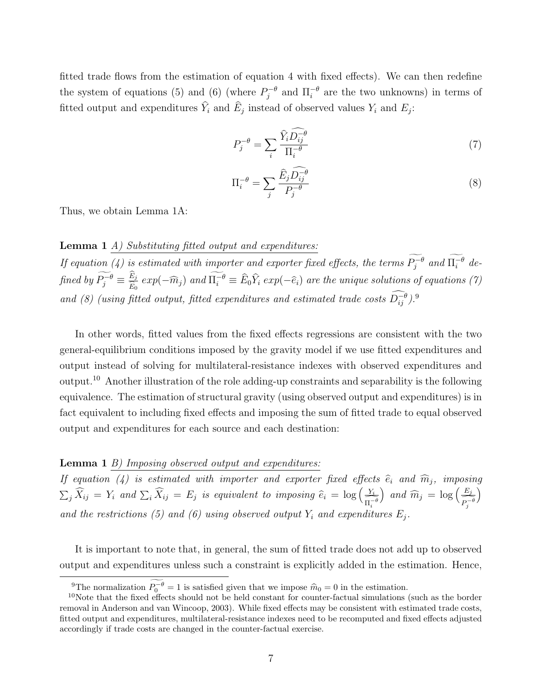fitted trade flows from the estimation of equation 4 with fixed effects). We can then redefine the system of equations (5) and (6) (where  $P_j^{-\theta}$  and  $\Pi_i^{-\theta}$  are the two unknowns) in terms of fitted output and expenditures  $Y_i$  and  $E_j$  instead of observed values  $Y_i$  and  $E_j$ :

$$
P_j^{-\theta} = \sum_i \frac{\widehat{Y}_i \widehat{D_{ij}^{-\theta}}}{\Pi_i^{-\theta}} \tag{7}
$$

$$
\Pi_i^{-\theta} = \sum_j \frac{\widehat{E}_j \widehat{D_{ij}^{-\theta}}}{P_j^{-\theta}}
$$
\n(8)

Thus, we obtain Lemma 1A:

## Lemma 1 A) Substituting fitted output and expenditures:

If equation (4) is estimated with importer and exporter fixed effects, the terms  $P_j^{-\theta}$  and  $\Pi_i^{-\theta}$  defined by  $P_j^{-\theta} \equiv \frac{E_j}{\widehat{E}_0} exp(-\widehat{m}_j)$  and  $\Pi_i^{-\theta} \equiv \widehat{E}_0 \widehat{Y}_i exp(-\widehat{e}_i)$  are the unique solutions of equations (7)  $E_0$ and (8) (using fitted output, fitted expenditures and estimated trade costs  $D_{ij}^{-\theta}$ ).<sup>9</sup>

In other words, fitted values from the fixed effects regressions are consistent with the two general-equilibrium conditions imposed by the gravity model if we use fitted expenditures and output instead of solving for multilateral-resistance indexes with observed expenditures and output.<sup>10</sup> Another illustration of the role adding-up constraints and separability is the following equivalence. The estimation of structural gravity (using observed output and expenditures) is in fact equivalent to including fixed effects and imposing the sum of fitted trade to equal observed output and expenditures for each source and each destination:

#### **Lemma 1** B) Imposing observed output and expenditures:

If equation (4) is estimated with importer and exporter fixed effects  $\hat{e}_i$  and  $\hat{m}_j$ , imposing  $\sum_j \widehat{X}_{ij} = Y_i$  and  $\sum_i \widehat{X}_{ij} = E_j$  is equivalent to imposing  $\widehat{e}_i = \log \left( \frac{Y_i}{\widehat{W}_i} \right)$  $\Pi_i^{-\theta}$ ) and  $\widehat{m}_j = \log \left( \frac{E_j}{P^{-}} \right)$  $P_j^{-\theta}$  $\setminus$ and the restrictions (5) and (6) using observed output  $Y_i$  and expenditures  $E_j$ .

It is important to note that, in general, the sum of fitted trade does not add up to observed output and expenditures unless such a constraint is explicitly added in the estimation. Hence,

<sup>&</sup>lt;sup>9</sup>The normalization  $P_0^{-\theta} = 1$  is satisfied given that we impose  $\hat{m}_0 = 0$  in the estimation.

<sup>&</sup>lt;sup>10</sup>Note that the fixed effects should not be held constant for counter-factual simulations (such as the border removal in Anderson and van Wincoop, 2003). While fixed effects may be consistent with estimated trade costs, fitted output and expenditures, multilateral-resistance indexes need to be recomputed and fixed effects adjusted accordingly if trade costs are changed in the counter-factual exercise.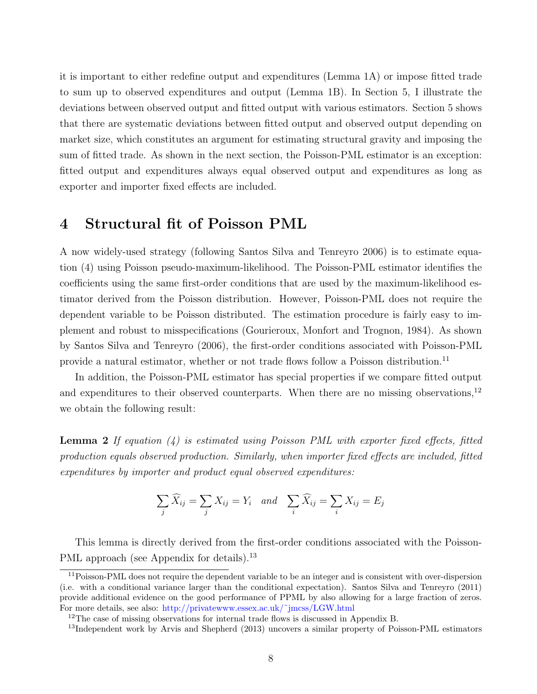it is important to either redefine output and expenditures (Lemma 1A) or impose fitted trade to sum up to observed expenditures and output (Lemma 1B). In Section 5, I illustrate the deviations between observed output and fitted output with various estimators. Section 5 shows that there are systematic deviations between fitted output and observed output depending on market size, which constitutes an argument for estimating structural gravity and imposing the sum of fitted trade. As shown in the next section, the Poisson-PML estimator is an exception: fitted output and expenditures always equal observed output and expenditures as long as exporter and importer fixed effects are included.

# 4 Structural fit of Poisson PML

A now widely-used strategy (following Santos Silva and Tenreyro 2006) is to estimate equation (4) using Poisson pseudo-maximum-likelihood. The Poisson-PML estimator identifies the coefficients using the same first-order conditions that are used by the maximum-likelihood estimator derived from the Poisson distribution. However, Poisson-PML does not require the dependent variable to be Poisson distributed. The estimation procedure is fairly easy to implement and robust to misspecifications (Gourieroux, Monfort and Trognon, 1984). As shown by Santos Silva and Tenreyro (2006), the first-order conditions associated with Poisson-PML provide a natural estimator, whether or not trade flows follow a Poisson distribution.<sup>11</sup>

In addition, the Poisson-PML estimator has special properties if we compare fitted output and expenditures to their observed counterparts. When there are no missing observations,  $12$ we obtain the following result:

**Lemma 2** If equation  $\lambda$  is estimated using Poisson PML with exporter fixed effects, fitted production equals observed production. Similarly, when importer fixed effects are included, fitted expenditures by importer and product equal observed expenditures:

$$
\sum_{j} \widehat{X}_{ij} = \sum_{j} X_{ij} = Y_i \quad and \quad \sum_{i} \widehat{X}_{ij} = \sum_{i} X_{ij} = E_j
$$

This lemma is directly derived from the first-order conditions associated with the Poisson-PML approach (see Appendix for details).<sup>13</sup>

<sup>&</sup>lt;sup>11</sup>Poisson-PML does not require the dependent variable to be an integer and is consistent with over-dispersion (i.e. with a conditional variance larger than the conditional expectation). Santos Silva and Tenreyro (2011) provide additional evidence on the good performance of PPML by also allowing for a large fraction of zeros. For more details, see also: http://privatewww.essex.ac.uk/˜jmcss/LGW.html

<sup>&</sup>lt;sup>12</sup>The case of missing observations for internal trade flows is discussed in Appendix B.

<sup>&</sup>lt;sup>13</sup>Independent work by Arvis and Shepherd (2013) uncovers a similar property of Poisson-PML estimators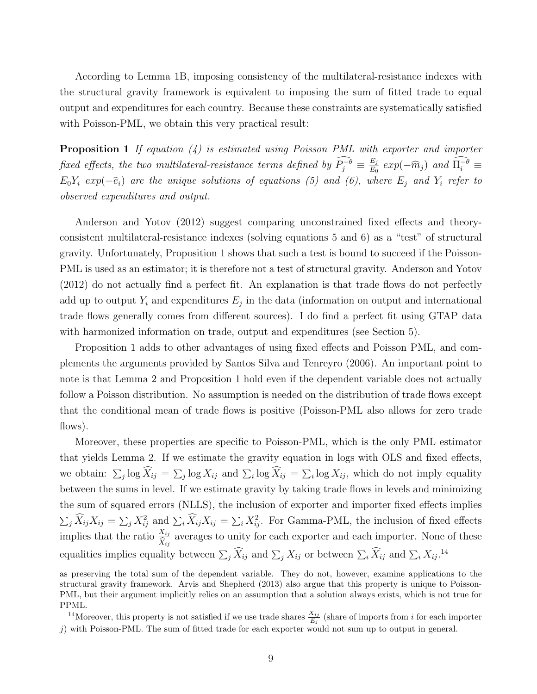According to Lemma 1B, imposing consistency of the multilateral-resistance indexes with the structural gravity framework is equivalent to imposing the sum of fitted trade to equal output and expenditures for each country. Because these constraints are systematically satisfied with Poisson-PML, we obtain this very practical result:

**Proposition 1** If equation  $\lambda$ ) is estimated using Poisson PML with exporter and importer fixed effects, the two multilateral-resistance terms defined by  $\hat{P}_j^{-\theta} \equiv \frac{E_j}{E_0}$  $\frac{E_j}{E_0} exp(-\widehat{m}_j)$  and  $\Pi_i^{-\theta} \equiv$  $E_0Y_i \, exp(-\hat{e}_i)$  are the unique solutions of equations (5) and (6), where  $E_j$  and  $Y_i$  refer to observed expenditures and output.

Anderson and Yotov (2012) suggest comparing unconstrained fixed effects and theoryconsistent multilateral-resistance indexes (solving equations 5 and 6) as a "test" of structural gravity. Unfortunately, Proposition 1 shows that such a test is bound to succeed if the Poisson-PML is used as an estimator; it is therefore not a test of structural gravity. Anderson and Yotov (2012) do not actually find a perfect fit. An explanation is that trade flows do not perfectly add up to output  $Y_i$  and expenditures  $E_j$  in the data (information on output and international trade flows generally comes from different sources). I do find a perfect fit using GTAP data with harmonized information on trade, output and expenditures (see Section 5).

Proposition 1 adds to other advantages of using fixed effects and Poisson PML, and complements the arguments provided by Santos Silva and Tenreyro (2006). An important point to note is that Lemma 2 and Proposition 1 hold even if the dependent variable does not actually follow a Poisson distribution. No assumption is needed on the distribution of trade flows except that the conditional mean of trade flows is positive (Poisson-PML also allows for zero trade flows).

Moreover, these properties are specific to Poisson-PML, which is the only PML estimator that yields Lemma 2. If we estimate the gravity equation in logs with OLS and fixed effects, we obtain:  $\sum_j \log X_{ij} = \sum_j \log X_{ij}$  and  $\sum_i \log X_{ij} = \sum_i \log X_{ij}$ , which do not imply equality between the sums in level. If we estimate gravity by taking trade flows in levels and minimizing the sum of squared errors (NLLS), the inclusion of exporter and importer fixed effects implies  $\sum_j \widehat{X}_{ij} X_{ij} = \sum_j X_{ij}^2$  and  $\sum_i \widehat{X}_{ij} X_{ij} = \sum_i X_{ij}^2$ . For Gamma-PML, the inclusion of fixed effects implies that the ratio  $\frac{X_{ij}}{\widehat{\mathbf{c}}}$  $X_{ij}$ averages to unity for each exporter and each importer. None of these equalities implies equality between  $\sum_j \widehat{X}_{ij}$  and  $\sum_j X_{ij}$  or between  $\sum_i \widehat{X}_{ij}$  and  $\sum_i X_{ij}$ .<sup>14</sup>

as preserving the total sum of the dependent variable. They do not, however, examine applications to the structural gravity framework. Arvis and Shepherd (2013) also argue that this property is unique to Poisson-PML, but their argument implicitly relies on an assumption that a solution always exists, which is not true for PPML.

<sup>&</sup>lt;sup>14</sup>Moreover, this property is not satisfied if we use trade shares  $\frac{X_{ij}}{E_j}$  (share of imports from *i* for each importer j) with Poisson-PML. The sum of fitted trade for each exporter would not sum up to output in general.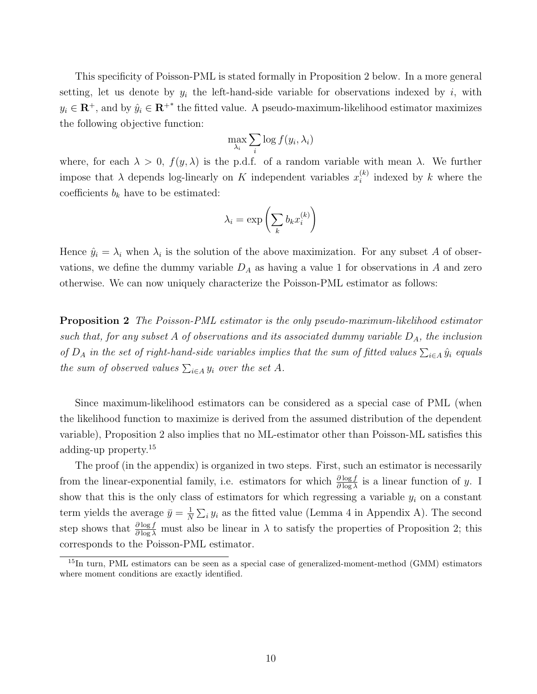This specificity of Poisson-PML is stated formally in Proposition 2 below. In a more general setting, let us denote by  $y_i$  the left-hand-side variable for observations indexed by i, with  $y_i \in \mathbf{R}^+$ , and by  $\hat{y}_i \in \mathbf{R}^{+*}$  the fitted value. A pseudo-maximum-likelihood estimator maximizes the following objective function:

$$
\max_{\lambda_i} \sum_i \log f(y_i, \lambda_i)
$$

where, for each  $\lambda > 0$ ,  $f(y, \lambda)$  is the p.d.f. of a random variable with mean  $\lambda$ . We further impose that  $\lambda$  depends log-linearly on K independent variables  $x_i^{(k)}$  $i^{(k)}$  indexed by k where the coefficients  $b_k$  have to be estimated:

$$
\lambda_i = \exp\left(\sum_k b_k x_i^{(k)}\right)
$$

Hence  $\hat{y}_i = \lambda_i$  when  $\lambda_i$  is the solution of the above maximization. For any subset A of observations, we define the dummy variable  $D_A$  as having a value 1 for observations in A and zero otherwise. We can now uniquely characterize the Poisson-PML estimator as follows:

Proposition 2 The Poisson-PML estimator is the only pseudo-maximum-likelihood estimator such that, for any subset A of observations and its associated dummy variable  $D_A$ , the inclusion of  $D_A$  in the set of right-hand-side variables implies that the sum of fitted values  $\sum_{i\in A}\hat{y}_i$  equals the sum of observed values  $\sum_{i\in A} y_i$  over the set A.

Since maximum-likelihood estimators can be considered as a special case of PML (when the likelihood function to maximize is derived from the assumed distribution of the dependent variable), Proposition 2 also implies that no ML-estimator other than Poisson-ML satisfies this adding-up property.<sup>15</sup>

The proof (in the appendix) is organized in two steps. First, such an estimator is necessarily from the linear-exponential family, i.e. estimators for which  $\frac{\partial \log f}{\partial \log \lambda}$  is a linear function of y. I show that this is the only class of estimators for which regressing a variable  $y_i$  on a constant term yields the average  $\bar{y} = \frac{1}{N}$  $\frac{1}{N} \sum_i y_i$  as the fitted value (Lemma 4 in Appendix A). The second step shows that  $\frac{\partial \log f}{\partial \log \lambda}$  must also be linear in  $\lambda$  to satisfy the properties of Proposition 2; this corresponds to the Poisson-PML estimator.

<sup>&</sup>lt;sup>15</sup>In turn, PML estimators can be seen as a special case of generalized-moment-method (GMM) estimators where moment conditions are exactly identified.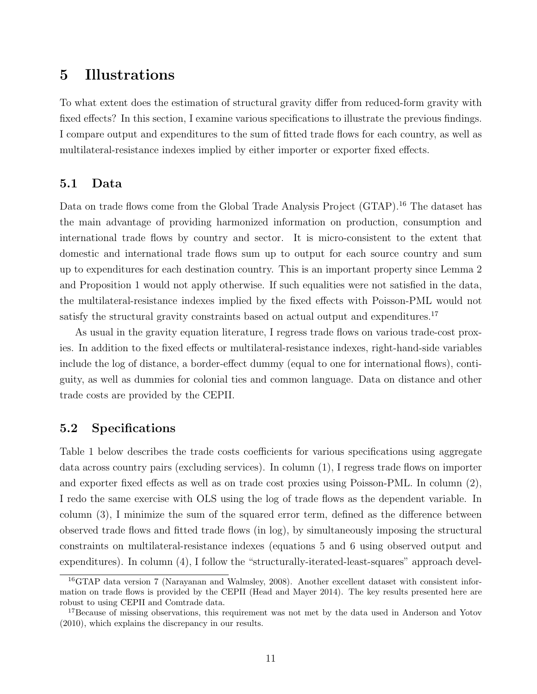# 5 Illustrations

To what extent does the estimation of structural gravity differ from reduced-form gravity with fixed effects? In this section, I examine various specifications to illustrate the previous findings. I compare output and expenditures to the sum of fitted trade flows for each country, as well as multilateral-resistance indexes implied by either importer or exporter fixed effects.

### 5.1 Data

Data on trade flows come from the Global Trade Analysis Project (GTAP).<sup>16</sup> The dataset has the main advantage of providing harmonized information on production, consumption and international trade flows by country and sector. It is micro-consistent to the extent that domestic and international trade flows sum up to output for each source country and sum up to expenditures for each destination country. This is an important property since Lemma 2 and Proposition 1 would not apply otherwise. If such equalities were not satisfied in the data, the multilateral-resistance indexes implied by the fixed effects with Poisson-PML would not satisfy the structural gravity constraints based on actual output and expenditures.<sup>17</sup>

As usual in the gravity equation literature, I regress trade flows on various trade-cost proxies. In addition to the fixed effects or multilateral-resistance indexes, right-hand-side variables include the log of distance, a border-effect dummy (equal to one for international flows), contiguity, as well as dummies for colonial ties and common language. Data on distance and other trade costs are provided by the CEPII.

### 5.2 Specifications

Table 1 below describes the trade costs coefficients for various specifications using aggregate data across country pairs (excluding services). In column (1), I regress trade flows on importer and exporter fixed effects as well as on trade cost proxies using Poisson-PML. In column (2), I redo the same exercise with OLS using the log of trade flows as the dependent variable. In column (3), I minimize the sum of the squared error term, defined as the difference between observed trade flows and fitted trade flows (in log), by simultaneously imposing the structural constraints on multilateral-resistance indexes (equations 5 and 6 using observed output and expenditures). In column (4), I follow the "structurally-iterated-least-squares" approach devel-

<sup>16</sup>GTAP data version 7 (Narayanan and Walmsley, 2008). Another excellent dataset with consistent information on trade flows is provided by the CEPII (Head and Mayer 2014). The key results presented here are robust to using CEPII and Comtrade data.

<sup>&</sup>lt;sup>17</sup>Because of missing observations, this requirement was not met by the data used in Anderson and Yotov (2010), which explains the discrepancy in our results.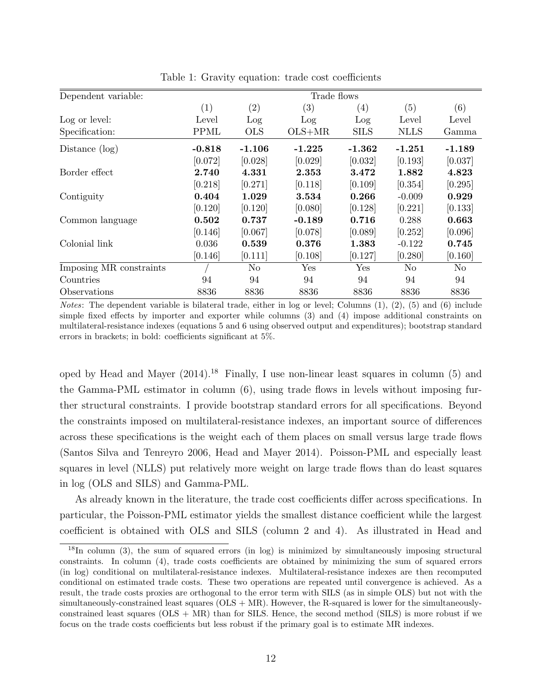| Dependent variable:     | Trade flows |                |                   |             |                |          |  |  |  |
|-------------------------|-------------|----------------|-------------------|-------------|----------------|----------|--|--|--|
|                         | (1)         | (2)            | $\left( 3\right)$ | (4)         | (5)            | (6)      |  |  |  |
| Log or level:           | Level       | Log            | Log               | Log         | Level          | Level    |  |  |  |
| Specification:          | PPML        | <b>OLS</b>     | $OLS+MR$          | <b>SILS</b> | <b>NLLS</b>    | Gamma    |  |  |  |
| Distance $(\log)$       | $-0.818$    | $-1.106$       | $-1.225$          | $-1.362$    | $-1.251$       | $-1.189$ |  |  |  |
|                         | [0.072]     | [0.028]        | [0.029]           | [0.032]     | [0.193]        | [0.037]  |  |  |  |
| Border effect           | 2.740       | 4.331          | 2.353             | 3.472       | 1.882          | 4.823    |  |  |  |
|                         | [0.218]     | [0.271]        | [0.118]           | [0.109]     | [0.354]        | [0.295]  |  |  |  |
| Contiguity              | 0.404       | 1.029          | $\bf3.534$        | 0.266       | $-0.009$       | 0.929    |  |  |  |
|                         | [0.120]     | [0.120]        | [0.080]           | [0.128]     | [0.221]        | [0.133]  |  |  |  |
| Common language         | 0.502       | 0.737          | $-0.189$          | 0.716       | 0.288          | 0.663    |  |  |  |
|                         | [0.146]     | [0.067]        | [0.078]           | [0.089]     | [0.252]        | [0.096]  |  |  |  |
| Colonial link           | 0.036       | 0.539          | 0.376             | 1.383       | $-0.122$       | 0.745    |  |  |  |
|                         | [0.146]     | [0.111]        | [0.108]           | [0.127]     | [0.280]        | [0.160]  |  |  |  |
| Imposing MR constraints |             | N <sub>o</sub> | Yes               | Yes         | N <sub>o</sub> | No       |  |  |  |
| Countries               | 94          | 94             | 94                | 94          | 94             | 94       |  |  |  |
| Observations            | 8836        | 8836           | 8836              | 8836        | 8836           | 8836     |  |  |  |

Table 1: Gravity equation: trade cost coefficients

Notes: The dependent variable is bilateral trade, either in log or level; Columns (1), (2), (5) and (6) include simple fixed effects by importer and exporter while columns (3) and (4) impose additional constraints on multilateral-resistance indexes (equations 5 and 6 using observed output and expenditures); bootstrap standard errors in brackets; in bold: coefficients significant at 5%.

oped by Head and Mayer  $(2014).^{18}$  Finally, I use non-linear least squares in column (5) and the Gamma-PML estimator in column (6), using trade flows in levels without imposing further structural constraints. I provide bootstrap standard errors for all specifications. Beyond the constraints imposed on multilateral-resistance indexes, an important source of differences across these specifications is the weight each of them places on small versus large trade flows (Santos Silva and Tenreyro 2006, Head and Mayer 2014). Poisson-PML and especially least squares in level (NLLS) put relatively more weight on large trade flows than do least squares in log (OLS and SILS) and Gamma-PML.

As already known in the literature, the trade cost coefficients differ across specifications. In particular, the Poisson-PML estimator yields the smallest distance coefficient while the largest coefficient is obtained with OLS and SILS (column 2 and 4). As illustrated in Head and

 $^{18}$ In column (3), the sum of squared errors (in log) is minimized by simultaneously imposing structural constraints. In column (4), trade costs coefficients are obtained by minimizing the sum of squared errors (in log) conditional on multilateral-resistance indexes. Multilateral-resistance indexes are then recomputed conditional on estimated trade costs. These two operations are repeated until convergence is achieved. As a result, the trade costs proxies are orthogonal to the error term with SILS (as in simple OLS) but not with the simultaneously-constrained least squares (OLS + MR). However, the R-squared is lower for the simultaneouslyconstrained least squares  $(OLS + MR)$  than for SILS. Hence, the second method  $(SILS)$  is more robust if we focus on the trade costs coefficients but less robust if the primary goal is to estimate MR indexes.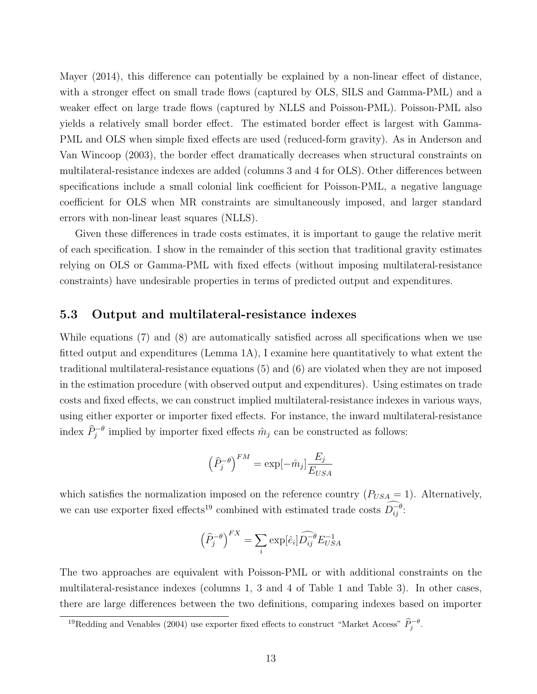Mayer (2014), this difference can potentially be explained by a non-linear effect of distance, with a stronger effect on small trade flows (captured by OLS, SILS and Gamma-PML) and a weaker effect on large trade flows (captured by NLLS and Poisson-PML). Poisson-PML also yields a relatively small border effect. The estimated border effect is largest with Gamma-PML and OLS when simple fixed effects are used (reduced-form gravity). As in Anderson and Van Wincoop (2003), the border effect dramatically decreases when structural constraints on multilateral-resistance indexes are added (columns 3 and 4 for OLS). Other differences between specifications include a small colonial link coefficient for Poisson-PML, a negative language coefficient for OLS when MR constraints are simultaneously imposed, and larger standard errors with non-linear least squares (NLLS).

Given these differences in trade costs estimates, it is important to gauge the relative merit of each specification. I show in the remainder of this section that traditional gravity estimates relying on OLS or Gamma-PML with fixed effects (without imposing multilateral-resistance constraints) have undesirable properties in terms of predicted output and expenditures.

### 5.3 Output and multilateral-resistance indexes

While equations (7) and (8) are automatically satisfied across all specifications when we use fitted output and expenditures (Lemma 1A), I examine here quantitatively to what extent the traditional multilateral-resistance equations (5) and (6) are violated when they are not imposed in the estimation procedure (with observed output and expenditures). Using estimates on trade costs and fixed effects, we can construct implied multilateral-resistance indexes in various ways, using either exporter or importer fixed effects. For instance, the inward multilateral-resistance index  $\widehat{P}_j^{-\theta}$  implied by importer fixed effects  $\hat{m}_j$  can be constructed as follows:

$$
\left(\hat{P}_j^{-\theta}\right)^{FM} = \exp[-\hat{m}_j] \frac{E_j}{E_{USA}}
$$

which satisfies the normalization imposed on the reference country  $(P_{USA} = 1)$ . Alternatively, we can use exporter fixed effects<sup>19</sup> combined with estimated trade costs  $D_{ij}^{-\theta}$ :

$$
\left(\hat{P}_j^{-\theta}\right)^{FX} = \sum_i \exp\left[\hat{e}_i\right] \widehat{D_{ij}}^{-\theta} E_{USA}^{-1}
$$

The two approaches are equivalent with Poisson-PML or with additional constraints on the multilateral-resistance indexes (columns 1, 3 and 4 of Table 1 and Table 3). In other cases, there are large differences between the two definitions, comparing indexes based on importer

<sup>&</sup>lt;sup>19</sup>Redding and Venables (2004) use exporter fixed effects to construct "Market Access"  $\hat{P}_j^{-\theta}$ .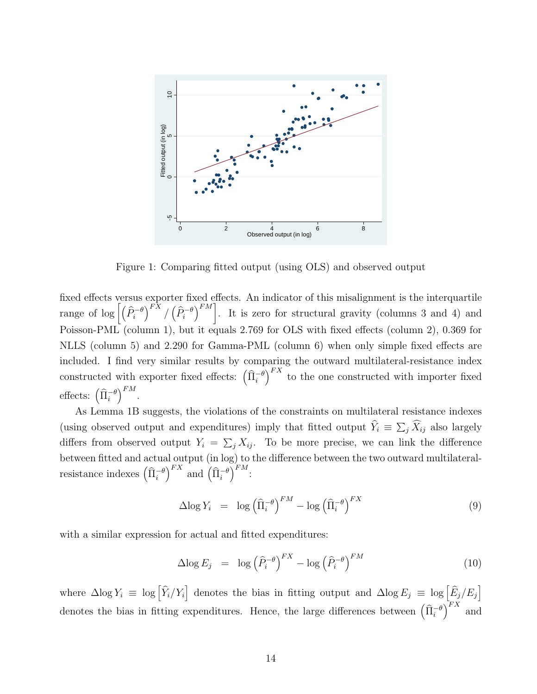

Figure 1: Comparing fitted output (using OLS) and observed output

fixed effects versus exporter fixed effects. An indicator of this misalignment is the interquartile range of  $\log \left[ \left( \widehat{P}_i^{-\theta} \right)^{FX} / \left( \widehat{P}_i^{-\theta} \right)^{FM} \right]$ . It is zero for structural gravity (columns 3 and 4) and Poisson-PML (column 1), but it equals 2.769 for OLS with fixed effects (column 2), 0.369 for NLLS (column 5) and 2.290 for Gamma-PML (column 6) when only simple fixed effects are included. I find very similar results by comparing the outward multilateral-resistance index constructed with exporter fixed effects:  $(\hat{\Pi}_i^{-\theta})^{FX}$  to the one constructed with importer fixed effects:  $(\widehat{\Pi}^{-\theta}_i)^{FM}$ .

As Lemma 1B suggests, the violations of the constraints on multilateral resistance indexes (using observed output and expenditures) imply that fitted output  $Y_i \equiv \sum_j X_{ij}$  also largely differs from observed output  $Y_i = \sum_j X_{ij}$ . To be more precise, we can link the difference between fitted and actual output (in log) to the difference between the two outward multilateralresistance indexes  $(\widehat{\Pi}_i^{-\theta})^{FX}$  and  $(\widehat{\Pi}_i^{-\theta})^{FM}$ :

$$
\Delta \log Y_i = \log \left( \widehat{\Pi}_i^{-\theta} \right)^{FM} - \log \left( \widehat{\Pi}_i^{-\theta} \right)^{FX} \tag{9}
$$

with a similar expression for actual and fitted expenditures:

$$
\Delta \log E_j = \log \left( \widehat{P}_i^{-\theta} \right)^{FX} - \log \left( \widehat{P}_i^{-\theta} \right)^{FM} \tag{10}
$$

where  $\Delta \log Y_i \equiv \log \left[ \hat{Y}_i/Y_i \right]$  denotes the bias in fitting output and  $\Delta \log E_j \equiv \log \left[ \hat{E}_j/E_j \right]$ denotes the bias in fitting expenditures. Hence, the large differences between  $(\hat{\Pi}_i^{-\theta})^{FX}$  and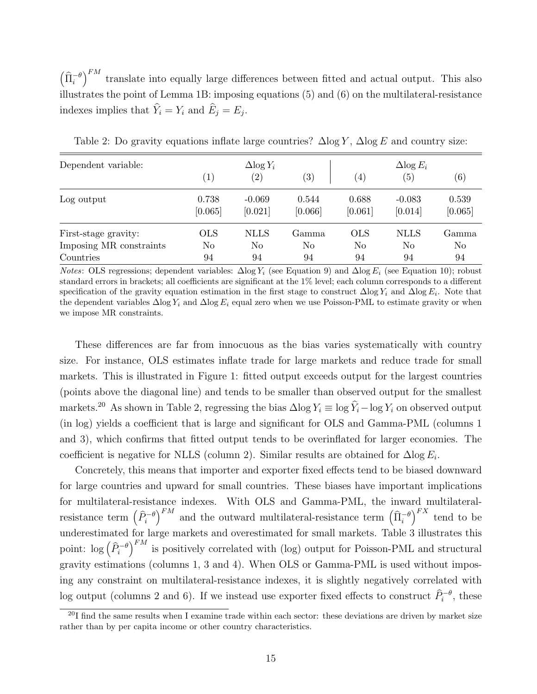$\left(\widehat{\Pi}_{i}^{-\theta}\right)^{FM}$  translate into equally large differences between fitted and actual output. This also illustrates the point of Lemma 1B: imposing equations (5) and (6) on the multilateral-resistance indexes implies that  $Y_i = Y_i$  and  $E_j = E_j$ .

| Dependent variable:     |                   | $\Delta$ log $Y_i$ |                   |                   | $\Delta$ log $E_i$ |         |
|-------------------------|-------------------|--------------------|-------------------|-------------------|--------------------|---------|
|                         | $\left( 1\right)$ | $\left( 2\right)$  | $\left( 3\right)$ | $\left( 4\right)$ | (5)                | (6)     |
| Log output              | 0.738             | $-0.069$           | 0.544             | 0.688             | $-0.083$           | 0.539   |
|                         | [0.065]           | [0.021]            | [0.066]           | [0.061]           | [0.014]            | [0.065] |
| First-stage gravity:    | OLS               | <b>NLLS</b>        | Gamma             | <b>OLS</b>        | <b>NLLS</b>        | Gamma   |
| Imposing MR constraints | No                | No                 | No                | No                | No                 | No      |
| Countries               | 94                | 94                 | 94                | 94                | 94                 | 94      |

Table 2: Do gravity equations inflate large countries?  $\Delta$ log Y,  $\Delta$ log E and country size:

*Notes*: OLS regressions; dependent variables:  $\Delta$ log Y<sub>i</sub> (see Equation 9) and  $\Delta$ log E<sub>i</sub> (see Equation 10); robust standard errors in brackets; all coefficients are significant at the 1% level; each column corresponds to a different specification of the gravity equation estimation in the first stage to construct  $\Delta \log Y_i$  and  $\Delta \log E_i$ . Note that the dependent variables  $\Delta$ log  $Y_i$  and  $\Delta$ log  $E_i$  equal zero when we use Poisson-PML to estimate gravity or when we impose MR constraints.

These differences are far from innocuous as the bias varies systematically with country size. For instance, OLS estimates inflate trade for large markets and reduce trade for small markets. This is illustrated in Figure 1: fitted output exceeds output for the largest countries (points above the diagonal line) and tends to be smaller than observed output for the smallest markets.<sup>20</sup> As shown in Table 2, regressing the bias  $\Delta$ log  $Y_i \equiv \log \hat{Y}_i - \log Y_i$  on observed output (in log) yields a coefficient that is large and significant for OLS and Gamma-PML (columns 1 and 3), which confirms that fitted output tends to be overinflated for larger economies. The coefficient is negative for NLLS (column 2). Similar results are obtained for  $\Delta$ log  $E_i$ .

Concretely, this means that importer and exporter fixed effects tend to be biased downward for large countries and upward for small countries. These biases have important implications for multilateral-resistance indexes. With OLS and Gamma-PML, the inward multilateralresistance term  $(\hat{P}_i^{-\theta})^{FM}$  and the outward multilateral-resistance term  $(\hat{\Pi}_i^{-\theta})^{FX}$  tend to be underestimated for large markets and overestimated for small markets. Table 3 illustrates this point:  $\log(\hat{P}_i^{-\theta})^{FM}$  is positively correlated with (log) output for Poisson-PML and structural gravity estimations (columns 1, 3 and 4). When OLS or Gamma-PML is used without imposing any constraint on multilateral-resistance indexes, it is slightly negatively correlated with log output (columns 2 and 6). If we instead use exporter fixed effects to construct  $\hat{P}_i^{-\theta}$ , these

<sup>&</sup>lt;sup>20</sup>I find the same results when I examine trade within each sector: these deviations are driven by market size rather than by per capita income or other country characteristics.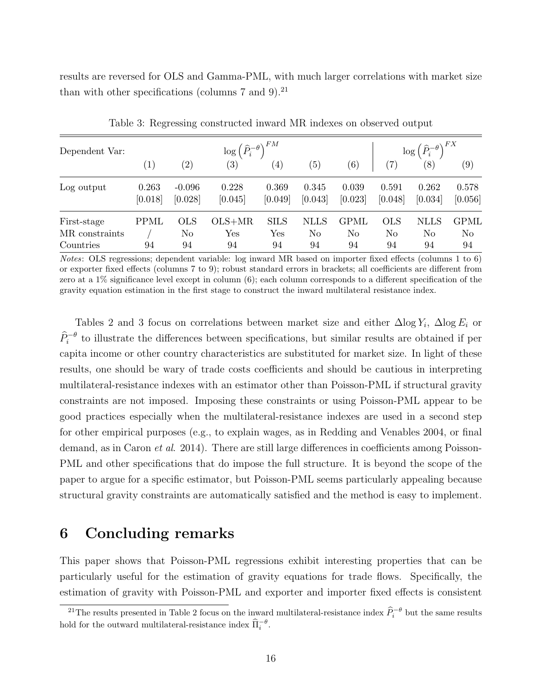results are reversed for OLS and Gamma-PML, with much larger correlations with market size than with other specifications (columns  $7$  and  $9$ ).<sup>21</sup>

| Dependent Var: | $\log\left(\widehat{P}_{i}^{-\theta}\right)^{FM}$ |                     |                   |                      |                  |                  | $\log\left(\widehat{P}_{i}^{-\theta}\right)^{FX}$ |                  |                  |
|----------------|---------------------------------------------------|---------------------|-------------------|----------------------|------------------|------------------|---------------------------------------------------|------------------|------------------|
|                | $\left( 1\right)$                                 | $\left( 2\right)$   | $\left( 3\right)$ | (4)                  | (5)              | (6)              | (7)                                               | (8)              | (9)              |
| Log output     | 0.263<br>[0.018]                                  | $-0.096$<br>[0.028] | 0.228<br>[0.045]  | 0.369<br>[0.049]     | 0.345<br>[0.043] | 0.039<br>[0.023] | 0.591<br>[0.048]                                  | 0.262<br>[0.034] | 0.578<br>[0.056] |
| First-stage    | PPML                                              | $_{\rm OLS}$        | $OLS+MR$          | <b>SILS</b>          | NLLS             | GPML             | <b>OLS</b>                                        | NLLS             | <b>GPML</b>      |
| MR constraints |                                                   | No                  | Yes               | $\operatorname{Yes}$ | No               | No               | No                                                | No               | No               |
| Countries      | 94                                                | 94                  | 94                | 94                   | 94               | 94               | 94                                                | 94               | 94               |

Table 3: Regressing constructed inward MR indexes on observed output

Notes: OLS regressions; dependent variable: log inward MR based on importer fixed effects (columns 1 to 6) or exporter fixed effects (columns 7 to 9); robust standard errors in brackets; all coefficients are different from zero at a 1% significance level except in column (6); each column corresponds to a different specification of the gravity equation estimation in the first stage to construct the inward multilateral resistance index.

Tables 2 and 3 focus on correlations between market size and either  $\Delta$ log  $Y_i$ ,  $\Delta$ log  $E_i$  or  $\hat{P}_i^{-\theta}$  to illustrate the differences between specifications, but similar results are obtained if per capita income or other country characteristics are substituted for market size. In light of these results, one should be wary of trade costs coefficients and should be cautious in interpreting multilateral-resistance indexes with an estimator other than Poisson-PML if structural gravity constraints are not imposed. Imposing these constraints or using Poisson-PML appear to be good practices especially when the multilateral-resistance indexes are used in a second step for other empirical purposes (e.g., to explain wages, as in Redding and Venables 2004, or final demand, as in Caron *et al.* 2014). There are still large differences in coefficients among Poisson-PML and other specifications that do impose the full structure. It is beyond the scope of the paper to argue for a specific estimator, but Poisson-PML seems particularly appealing because structural gravity constraints are automatically satisfied and the method is easy to implement.

# 6 Concluding remarks

This paper shows that Poisson-PML regressions exhibit interesting properties that can be particularly useful for the estimation of gravity equations for trade flows. Specifically, the estimation of gravity with Poisson-PML and exporter and importer fixed effects is consistent

<sup>&</sup>lt;sup>21</sup>The results presented in Table 2 focus on the inward multilateral-resistance index  $\hat{P}_i^{-\theta}$  but the same results hold for the outward multilateral-resistance index  $\widehat{\Pi}_i^{-\theta}$ .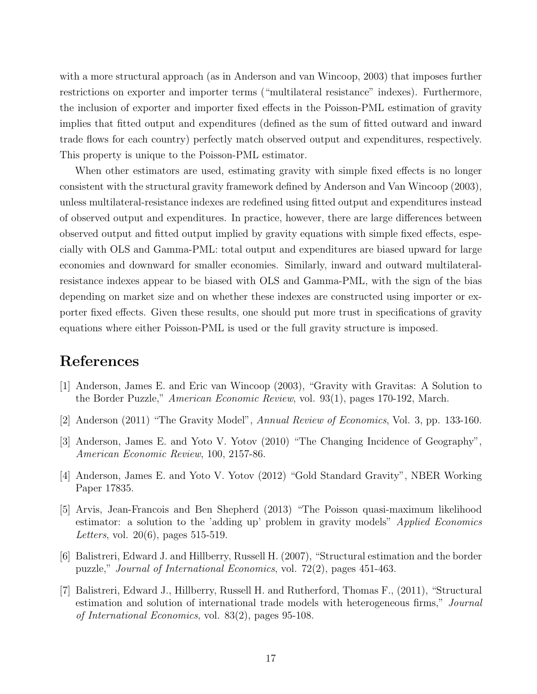with a more structural approach (as in Anderson and van Wincoop, 2003) that imposes further restrictions on exporter and importer terms ("multilateral resistance" indexes). Furthermore, the inclusion of exporter and importer fixed effects in the Poisson-PML estimation of gravity implies that fitted output and expenditures (defined as the sum of fitted outward and inward trade flows for each country) perfectly match observed output and expenditures, respectively. This property is unique to the Poisson-PML estimator.

When other estimators are used, estimating gravity with simple fixed effects is no longer consistent with the structural gravity framework defined by Anderson and Van Wincoop (2003), unless multilateral-resistance indexes are redefined using fitted output and expenditures instead of observed output and expenditures. In practice, however, there are large differences between observed output and fitted output implied by gravity equations with simple fixed effects, especially with OLS and Gamma-PML: total output and expenditures are biased upward for large economies and downward for smaller economies. Similarly, inward and outward multilateralresistance indexes appear to be biased with OLS and Gamma-PML, with the sign of the bias depending on market size and on whether these indexes are constructed using importer or exporter fixed effects. Given these results, one should put more trust in specifications of gravity equations where either Poisson-PML is used or the full gravity structure is imposed.

## References

- [1] Anderson, James E. and Eric van Wincoop (2003), "Gravity with Gravitas: A Solution to the Border Puzzle," American Economic Review, vol. 93(1), pages 170-192, March.
- [2] Anderson (2011) "The Gravity Model", Annual Review of Economics, Vol. 3, pp. 133-160.
- [3] Anderson, James E. and Yoto V. Yotov (2010) "The Changing Incidence of Geography", American Economic Review, 100, 2157-86.
- [4] Anderson, James E. and Yoto V. Yotov (2012) "Gold Standard Gravity", NBER Working Paper 17835.
- [5] Arvis, Jean-Francois and Ben Shepherd (2013) "The Poisson quasi-maximum likelihood estimator: a solution to the 'adding up' problem in gravity models" *Applied Economics Letters*, vol. 20(6), pages 515-519.
- [6] Balistreri, Edward J. and Hillberry, Russell H. (2007), "Structural estimation and the border puzzle," Journal of International Economics, vol. 72(2), pages 451-463.
- [7] Balistreri, Edward J., Hillberry, Russell H. and Rutherford, Thomas F., (2011), "Structural estimation and solution of international trade models with heterogeneous firms," Journal of International Economics, vol. 83(2), pages 95-108.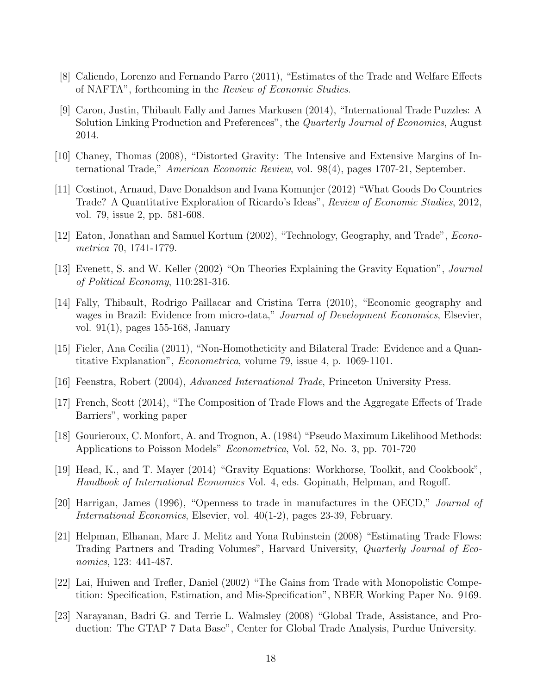- [8] Caliendo, Lorenzo and Fernando Parro (2011), "Estimates of the Trade and Welfare Effects of NAFTA", forthcoming in the Review of Economic Studies.
- [9] Caron, Justin, Thibault Fally and James Markusen (2014), "International Trade Puzzles: A Solution Linking Production and Preferences", the *Quarterly Journal of Economics*, August 2014.
- [10] Chaney, Thomas (2008), "Distorted Gravity: The Intensive and Extensive Margins of International Trade," American Economic Review, vol. 98(4), pages 1707-21, September.
- [11] Costinot, Arnaud, Dave Donaldson and Ivana Komunjer (2012) "What Goods Do Countries Trade? A Quantitative Exploration of Ricardo's Ideas", Review of Economic Studies, 2012, vol. 79, issue 2, pp. 581-608.
- [12] Eaton, Jonathan and Samuel Kortum (2002), "Technology, Geography, and Trade", Econometrica 70, 1741-1779.
- [13] Evenett, S. and W. Keller (2002) "On Theories Explaining the Gravity Equation", Journal of Political Economy, 110:281-316.
- [14] Fally, Thibault, Rodrigo Paillacar and Cristina Terra (2010), "Economic geography and wages in Brazil: Evidence from micro-data," Journal of Development Economics, Elsevier, vol. 91(1), pages 155-168, January
- [15] Fieler, Ana Cecilia (2011), "Non-Homotheticity and Bilateral Trade: Evidence and a Quantitative Explanation", Econometrica, volume 79, issue 4, p. 1069-1101.
- [16] Feenstra, Robert (2004), Advanced International Trade, Princeton University Press.
- [17] French, Scott (2014), "The Composition of Trade Flows and the Aggregate Effects of Trade Barriers", working paper
- [18] Gourieroux, C. Monfort, A. and Trognon, A. (1984) "Pseudo Maximum Likelihood Methods: Applications to Poisson Models" Econometrica, Vol. 52, No. 3, pp. 701-720
- [19] Head, K., and T. Mayer (2014) "Gravity Equations: Workhorse, Toolkit, and Cookbook", Handbook of International Economics Vol. 4, eds. Gopinath, Helpman, and Rogoff.
- [20] Harrigan, James (1996), "Openness to trade in manufactures in the OECD," Journal of International Economics, Elsevier, vol. 40(1-2), pages 23-39, February.
- [21] Helpman, Elhanan, Marc J. Melitz and Yona Rubinstein (2008) "Estimating Trade Flows: Trading Partners and Trading Volumes", Harvard University, Quarterly Journal of Economics, 123: 441-487.
- [22] Lai, Huiwen and Trefler, Daniel (2002) "The Gains from Trade with Monopolistic Competition: Specification, Estimation, and Mis-Specification", NBER Working Paper No. 9169.
- [23] Narayanan, Badri G. and Terrie L. Walmsley (2008) "Global Trade, Assistance, and Production: The GTAP 7 Data Base", Center for Global Trade Analysis, Purdue University.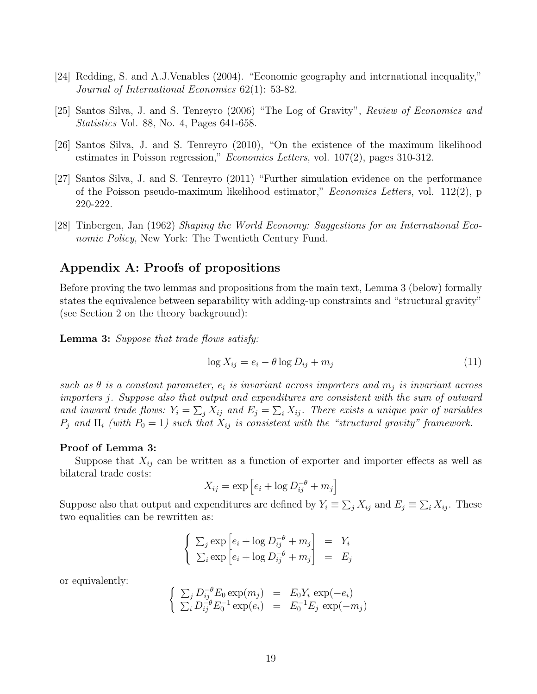- [24] Redding, S. and A.J.Venables (2004). "Economic geography and international inequality," Journal of International Economics 62(1): 53-82.
- [25] Santos Silva, J. and S. Tenreyro (2006) "The Log of Gravity", Review of Economics and Statistics Vol. 88, No. 4, Pages 641-658.
- [26] Santos Silva, J. and S. Tenreyro (2010), "On the existence of the maximum likelihood estimates in Poisson regression," Economics Letters, vol. 107(2), pages 310-312.
- [27] Santos Silva, J. and S. Tenreyro (2011) "Further simulation evidence on the performance of the Poisson pseudo-maximum likelihood estimator," Economics Letters, vol. 112(2), p 220-222.
- [28] Tinbergen, Jan (1962) Shaping the World Economy: Suggestions for an International Economic Policy, New York: The Twentieth Century Fund.

## Appendix A: Proofs of propositions

Before proving the two lemmas and propositions from the main text, Lemma 3 (below) formally states the equivalence between separability with adding-up constraints and "structural gravity" (see Section 2 on the theory background):

Lemma 3: Suppose that trade flows satisfy:

$$
\log X_{ij} = e_i - \theta \log D_{ij} + m_j \tag{11}
$$

such as  $\theta$  is a constant parameter,  $e_i$  is invariant across importers and  $m_j$  is invariant across importers j. Suppose also that output and expenditures are consistent with the sum of outward and inward trade flows:  $Y_i = \sum_j X_{ij}$  and  $E_j = \sum_i X_{ij}$ . There exists a unique pair of variables  $P_i$  and  $\Pi_i$  (with  $P_0 = 1$ ) such that  $X_{ij}$  is consistent with the "structural gravity" framework.

#### Proof of Lemma 3:

Suppose that  $X_{ij}$  can be written as a function of exporter and importer effects as well as bilateral trade costs:

$$
X_{ij} = \exp\left[e_i + \log D_{ij}^{-\theta} + m_j\right]
$$

Suppose also that output and expenditures are defined by  $Y_i \equiv \sum_j X_{ij}$  and  $E_j \equiv \sum_i X_{ij}$ . These two equalities can be rewritten as:

$$
\begin{cases}\n\sum_{j} \exp\left[e_i + \log D_{ij}^{-\theta} + m_j\right] & = Y_i \\
\sum_{i} \exp\left[e_i + \log D_{ij}^{-\theta} + m_j\right] & = E_j\n\end{cases}
$$

or equivalently:

$$
\begin{cases}\n\sum_{j} D_{ij}^{-\theta} E_0 \exp(m_j) = E_0 Y_i \exp(-e_i) \\
\sum_{i} D_{ij}^{-\theta} E_0^{-1} \exp(e_i) = E_0^{-1} E_j \exp(-m_j)\n\end{cases}
$$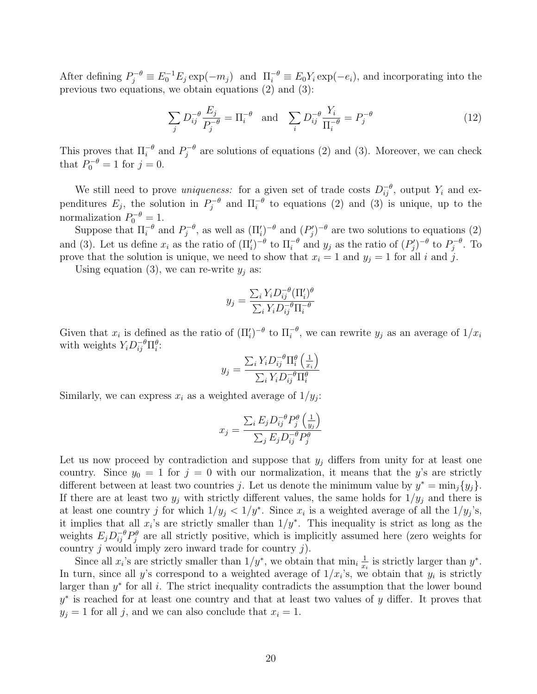After defining  $P_j^{-\theta} \equiv E_0^{-1} E_j \exp(-m_j)$  and  $\Pi_i^{-\theta} \equiv E_0 Y_i \exp(-e_i)$ , and incorporating into the previous two equations, we obtain equations (2) and (3):

$$
\sum_{j} D_{ij}^{-\theta} \frac{E_j}{P_j^{-\theta}} = \Pi_i^{-\theta} \quad \text{and} \quad \sum_{i} D_{ij}^{-\theta} \frac{Y_i}{\Pi_i^{-\theta}} = P_j^{-\theta} \tag{12}
$$

This proves that  $\Pi_i^{-\theta}$  and  $P_j^{-\theta}$  are solutions of equations (2) and (3). Moreover, we can check that  $P_0^{-\theta} = 1$  for  $j = 0$ .

We still need to prove *uniqueness*: for a given set of trade costs  $D_{ij}^{-\theta}$ , output  $Y_i$  and expenditures  $E_j$ , the solution in  $P_j^{-\theta}$  and  $\Pi_i^{-\theta}$  to equations (2) and (3) is unique, up to the normalization  $P_0^{-\theta} = 1$ .

Suppose that  $\Pi_i^{-\theta}$  and  $P_j^{-\theta}$ , as well as  $(\Pi_i')^{-\theta}$  and  $(P_j')^{-\theta}$  are two solutions to equations (2) and (3). Let us define  $x_i$  as the ratio of  $(\Pi'_i)^{-\theta}$  to  $\Pi_i^{-\theta}$  and  $y_j$  as the ratio of  $(P'_j)^{-\theta}$  to  $P_j^{-\theta}$ . To prove that the solution is unique, we need to show that  $x_i = 1$  and  $y_j = 1$  for all i and j.

Using equation (3), we can re-write  $y_j$  as:

$$
y_j = \frac{\sum_i Y_i D_{ij}^{-\theta} (\Pi_i')^{\theta}}{\sum_i Y_i D_{ij}^{-\theta} \Pi_i^{-\theta}}
$$

Given that  $x_i$  is defined as the ratio of  $(\Pi'_i)^{-\theta}$  to  $\Pi_i^{-\theta}$ , we can rewrite  $y_j$  as an average of  $1/x_i$ with weights  $Y_i D_{ij}^{-\theta} \Pi_i^{\theta}$ :

$$
y_j = \frac{\sum_i Y_i D_{ij}^{-\theta} \Pi_i^{\theta} \left(\frac{1}{x_i}\right)}{\sum_i Y_i D_{ij}^{-\theta} \Pi_i^{\theta}}
$$

Similarly, we can express  $x_i$  as a weighted average of  $1/y_j$ :

$$
x_j = \frac{\sum_i E_j D_{ij}^{-\theta} P_j^{\theta} \left(\frac{1}{y_j}\right)}{\sum_j E_j D_{ij}^{-\theta} P_j^{\theta}}
$$

Let us now proceed by contradiction and suppose that  $y_i$  differs from unity for at least one country. Since  $y_0 = 1$  for  $j = 0$  with our normalization, it means that the y's are strictly different between at least two countries j. Let us denote the minimum value by  $y^* = \min_j \{y_j\}.$ If there are at least two  $y_j$  with strictly different values, the same holds for  $1/y_j$  and there is at least one country j for which  $1/y_j < 1/y^*$ . Since  $x_i$  is a weighted average of all the  $1/y_j$ 's, it implies that all  $x_i$ 's are strictly smaller than  $1/y^*$ . This inequality is strict as long as the weights  $E_j D_{ij}^{-\theta} P_j^{\theta}$  are all strictly positive, which is implicitly assumed here (zero weights for country  $j$  would imply zero inward trade for country  $j$ ).

Since all  $x_i$ 's are strictly smaller than  $1/y^*$ , we obtain that  $\min_i \frac{1}{x_i}$  $\frac{1}{x_i}$  is strictly larger than  $y^*$ . In turn, since all y's correspond to a weighted average of  $1/x_i$ 's, we obtain that  $y_i$  is strictly larger than  $y^*$  for all i. The strict inequality contradicts the assumption that the lower bound  $y^*$  is reached for at least one country and that at least two values of y differ. It proves that  $y_i = 1$  for all j, and we can also conclude that  $x_i = 1$ .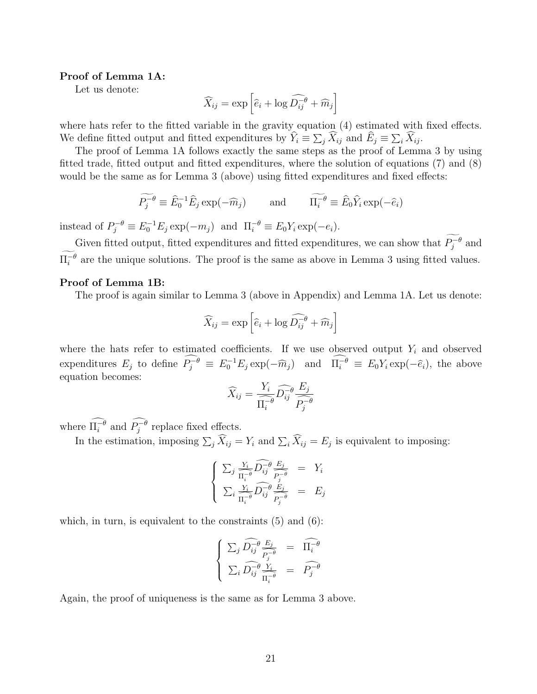#### Proof of Lemma 1A:

Let us denote:

$$
\widehat{X}_{ij} = \exp\left[\widehat{e}_i + \log \widehat{D_{ij}}^{\theta} + \widehat{m}_j\right]
$$

where hats refer to the fitted variable in the gravity equation (4) estimated with fixed effects. We define fitted output and fitted expenditures by  $Y_i \equiv \sum_j X_{ij}$  and  $E_j \equiv \sum_i X_{ij}$ .

The proof of Lemma 1A follows exactly the same steps as the proof of Lemma 3 by using fitted trade, fitted output and fitted expenditures, where the solution of equations (7) and (8) would be the same as for Lemma 3 (above) using fitted expenditures and fixed effects:

$$
\widetilde{P_j^{-\theta}} \equiv \widehat{E}_0^{-1} \widehat{E}_j \exp(-\widehat{m}_j) \quad \text{and} \quad \widetilde{\Pi_i^{-\theta}} \equiv \widehat{E}_0 \widehat{Y}_i \exp(-\widehat{e}_i)
$$

instead of  $P_j^{-\theta} \equiv E_0^{-1} E_j \exp(-m_j)$  and  $\Pi_i^{-\theta} \equiv E_0 Y_i \exp(-e_i)$ .

Given fitted output, fitted expenditures and fitted expenditures, we can show that  $P_j^{-\theta}$  and  $\Pi_i^{-\theta}$  are the unique solutions. The proof is the same as above in Lemma 3 using fitted values.

#### Proof of Lemma 1B:

The proof is again similar to Lemma 3 (above in Appendix) and Lemma 1A. Let us denote:

$$
\widehat{X}_{ij} = \exp\left[\widehat{e}_i + \log \widehat{D_{ij}}^{\theta} + \widehat{m}_j\right]
$$

where the hats refer to estimated coefficients. If we use observed output  $Y_i$  and observed expenditures  $E_j$  to define  $P_j^{-\theta} \equiv E_0^{-1} E_j \exp(-\widehat{m}_j)$  and  $\Pi_i^{-\theta} \equiv E_0 Y_i \exp(-\widehat{e}_i)$ , the above equation becomes:

$$
\widehat{X}_{ij} = \frac{Y_i}{\widehat{\Pi_i^{-\theta}}} \widehat{D_{ij}^{-\theta}} \frac{E_j}{\widehat{P_j^{-\theta}}}
$$

where  $\Pi_i^{-\theta}$  and  $P_j^{-\theta}$  replace fixed effects.

In the estimation, imposing  $\sum_j X_{ij} = Y_i$  and  $\sum_i X_{ij} = E_j$  is equivalent to imposing:

$$
\begin{cases}\n\sum_{j} \frac{Y_i}{\overline{\Pi_i} - \theta} \overline{D_{ij} - \theta} \frac{E_j}{\overline{P_j} - \theta} = Y_i \\
\sum_{i} \frac{Y_i}{\overline{\Pi_i} - \theta} \overline{D_{ij} - \theta} \frac{E_j}{\overline{P_j} - \theta} = E_j\n\end{cases}
$$

which, in turn, is equivalent to the constraints  $(5)$  and  $(6)$ :

$$
\begin{cases}\n\sum_{j} \widehat{D_{ij}} \frac{E_j}{\widehat{P_j} - \theta} = \widehat{\Pi_i}^{-\theta} \\
\sum_{i} \widehat{D_{ij}} \frac{Y_i}{\widehat{\Pi_i}^{-\theta}} = \widehat{P_j}^{-\theta}\n\end{cases}
$$

Again, the proof of uniqueness is the same as for Lemma 3 above.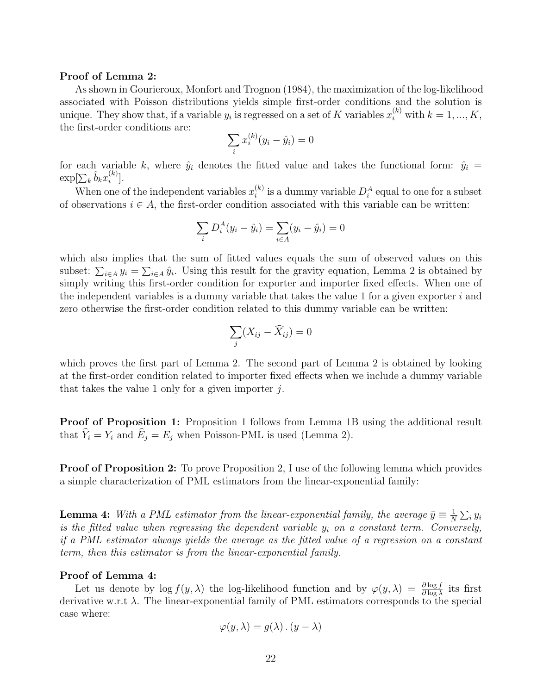#### Proof of Lemma 2:

As shown in Gourieroux, Monfort and Trognon (1984), the maximization of the log-likelihood associated with Poisson distributions yields simple first-order conditions and the solution is unique. They show that, if a variable  $y_i$  is regressed on a set of K variables  $x_i^{(k)}$  with  $k = 1, ..., K$ , the first-order conditions are:

$$
\sum_i x_i^{(k)} (y_i - \hat{y}_i) = 0
$$

for each variable k, where  $\hat{y}_i$  denotes the fitted value and takes the functional form:  $\hat{y}_i$  =  $\exp[\sum_k \hat{b}_k x_i^{(k)}]$  $\binom{\kappa}{i}$ .

When one of the independent variables  $x_i^{(k)}$  $i^{(k)}$  is a dummy variable  $D_i^A$  equal to one for a subset of observations  $i \in A$ , the first-order condition associated with this variable can be written:

$$
\sum_{i} D_i^A (y_i - \hat{y}_i) = \sum_{i \in A} (y_i - \hat{y}_i) = 0
$$

which also implies that the sum of fitted values equals the sum of observed values on this subset:  $\sum_{i\in A} y_i = \sum_{i\in A} \hat{y}_i$ . Using this result for the gravity equation, Lemma 2 is obtained by simply writing this first-order condition for exporter and importer fixed effects. When one of the independent variables is a dummy variable that takes the value 1 for a given exporter  $i$  and zero otherwise the first-order condition related to this dummy variable can be written:

$$
\sum_j (X_{ij} - \widehat{X}_{ij}) = 0
$$

which proves the first part of Lemma 2. The second part of Lemma 2 is obtained by looking at the first-order condition related to importer fixed effects when we include a dummy variable that takes the value 1 only for a given importer  $i$ .

Proof of Proposition 1: Proposition 1 follows from Lemma 1B using the additional result that  $Y_i = Y_i$  and  $E_j = E_j$  when Poisson-PML is used (Lemma 2).

**Proof of Proposition 2:** To prove Proposition 2, I use of the following lemma which provides a simple characterization of PML estimators from the linear-exponential family:

**Lemma 4:** With a PML estimator from the linear-exponential family, the average  $\bar{y} \equiv \frac{1}{N}$  $\frac{1}{N} \sum_i y_i$ is the fitted value when regressing the dependent variable  $y_i$  on a constant term. Conversely, if a PML estimator always yields the average as the fitted value of a regression on a constant term, then this estimator is from the linear-exponential family.

#### Proof of Lemma 4:

Let us denote by  $\log f(y, \lambda)$  the log-likelihood function and by  $\varphi(y, \lambda) = \frac{\partial \log f}{\partial \log \lambda}$  its first derivative w.r.t  $\lambda$ . The linear-exponential family of PML estimators corresponds to the special case where:

$$
\varphi(y,\lambda) = g(\lambda) \cdot (y - \lambda)
$$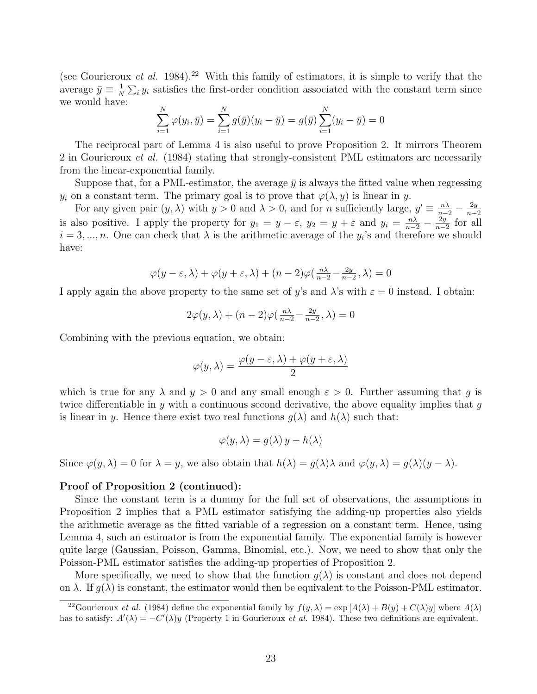(see Gourieroux *et al.* 1984).<sup>22</sup> With this family of estimators, it is simple to verify that the average  $\bar{y} \equiv \frac{1}{N}$  $\frac{1}{N}\sum_i y_i$  satisfies the first-order condition associated with the constant term since we would have:

$$
\sum_{i=1}^{N} \varphi(y_i, \bar{y}) = \sum_{i=1}^{N} g(\bar{y})(y_i - \bar{y}) = g(\bar{y}) \sum_{i=1}^{N} (y_i - \bar{y}) = 0
$$

The reciprocal part of Lemma 4 is also useful to prove Proposition 2. It mirrors Theorem 2 in Gourieroux *et al.* (1984) stating that strongly-consistent PML estimators are necessarily from the linear-exponential family.

Suppose that, for a PML-estimator, the average  $\bar{y}$  is always the fitted value when regressing  $y_i$  on a constant term. The primary goal is to prove that  $\varphi(\lambda, y)$  is linear in y.

For any given pair  $(y, \lambda)$  with  $y > 0$  and  $\lambda > 0$ , and for *n* sufficiently large,  $y' \equiv \frac{n\lambda}{n-2} - \frac{2y}{n-1}$  $n-2$ is also positive. I apply the property for  $y_1 = y - \varepsilon$ ,  $y_2 = y + \varepsilon$  and  $y_i = \frac{n\lambda}{n-2} - \frac{2y}{n-2}$  $\frac{2y}{n-2}$  for all  $i = 3, ..., n$ . One can check that  $\lambda$  is the arithmetic average of the  $y_i$ 's and therefore we should have:

$$
\varphi(y-\varepsilon,\lambda)+\varphi(y+\varepsilon,\lambda)+(n-2)\varphi(\tfrac{n\lambda}{n-2}-\tfrac{2y}{n-2},\lambda)=0
$$

I apply again the above property to the same set of y's and  $\lambda$ 's with  $\varepsilon = 0$  instead. I obtain:

$$
2\varphi(y,\lambda) + (n-2)\varphi\left(\frac{n\lambda}{n-2} - \frac{2y}{n-2}, \lambda\right) = 0
$$

Combining with the previous equation, we obtain:

$$
\varphi(y,\lambda)=\frac{\varphi(y-\varepsilon,\lambda)+\varphi(y+\varepsilon,\lambda)}{2}
$$

which is true for any  $\lambda$  and  $y > 0$  and any small enough  $\varepsilon > 0$ . Further assuming that q is twice differentiable in y with a continuous second derivative, the above equality implies that  $g$ is linear in y. Hence there exist two real functions  $g(\lambda)$  and  $h(\lambda)$  such that:

$$
\varphi(y,\lambda) = g(\lambda) y - h(\lambda)
$$

Since  $\varphi(y, \lambda) = 0$  for  $\lambda = y$ , we also obtain that  $h(\lambda) = q(\lambda)\lambda$  and  $\varphi(y, \lambda) = q(\lambda)(y - \lambda)$ .

#### Proof of Proposition 2 (continued):

Since the constant term is a dummy for the full set of observations, the assumptions in Proposition 2 implies that a PML estimator satisfying the adding-up properties also yields the arithmetic average as the fitted variable of a regression on a constant term. Hence, using Lemma 4, such an estimator is from the exponential family. The exponential family is however quite large (Gaussian, Poisson, Gamma, Binomial, etc.). Now, we need to show that only the Poisson-PML estimator satisfies the adding-up properties of Proposition 2.

More specifically, we need to show that the function  $q(\lambda)$  is constant and does not depend on  $\lambda$ . If  $g(\lambda)$  is constant, the estimator would then be equivalent to the Poisson-PML estimator.

<sup>&</sup>lt;sup>22</sup>Gourieroux *et al.* (1984) define the exponential family by  $f(y, \lambda) = \exp [A(\lambda) + B(y) + C(\lambda)y]$  where  $A(\lambda)$ has to satisfy:  $A'(\lambda) = -C'(\lambda)y$  (Property 1 in Gourieroux *et al.* 1984). These two definitions are equivalent.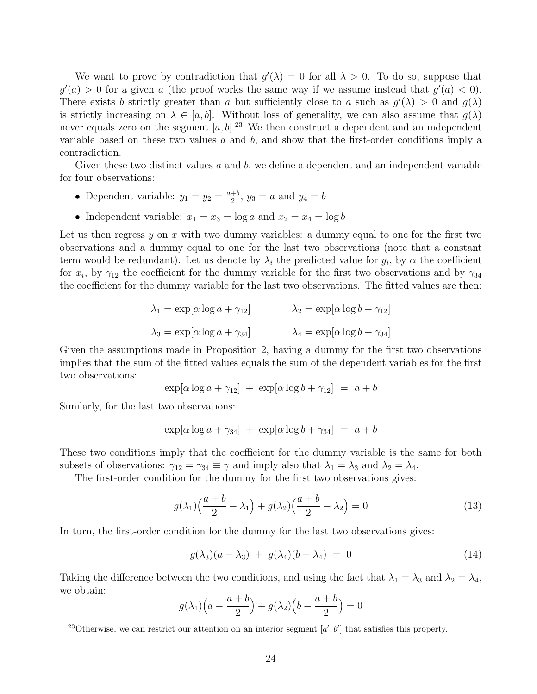We want to prove by contradiction that  $g'(\lambda) = 0$  for all  $\lambda > 0$ . To do so, suppose that  $g'(a) > 0$  for a given a (the proof works the same way if we assume instead that  $g'(a) < 0$ ). There exists b strictly greater than a but sufficiently close to a such as  $g'(\lambda) > 0$  and  $g(\lambda)$ is strictly increasing on  $\lambda \in [a, b]$ . Without loss of generality, we can also assume that  $g(\lambda)$ never equals zero on the segment  $[a, b]$ .<sup>23</sup> We then construct a dependent and an independent variable based on these two values  $a$  and  $b$ , and show that the first-order conditions imply a contradiction.

Given these two distinct values  $a$  and  $b$ , we define a dependent and an independent variable for four observations:

- Dependent variable:  $y_1 = y_2 = \frac{a+b}{2}$  $\frac{+b}{2}$ ,  $y_3 = a$  and  $y_4 = b$
- Independent variable:  $x_1 = x_3 = \log a$  and  $x_2 = x_4 = \log b$

Let us then regress y on x with two dummy variables: a dummy equal to one for the first two observations and a dummy equal to one for the last two observations (note that a constant term would be redundant). Let us denote by  $\lambda_i$  the predicted value for  $y_i$ , by  $\alpha$  the coefficient for  $x_i$ , by  $\gamma_{12}$  the coefficient for the dummy variable for the first two observations and by  $\gamma_{34}$ the coefficient for the dummy variable for the last two observations. The fitted values are then:

$$
\lambda_1 = \exp[\alpha \log a + \gamma_{12}] \qquad \qquad \lambda_2 = \exp[\alpha \log b + \gamma_{12}]
$$

$$
\lambda_3 = \exp[\alpha \log a + \gamma_{34}] \qquad \qquad \lambda_4 = \exp[\alpha \log b + \gamma_{34}]
$$

Given the assumptions made in Proposition 2, having a dummy for the first two observations implies that the sum of the fitted values equals the sum of the dependent variables for the first two observations:

$$
\exp[\alpha \log a + \gamma_{12}] + \exp[\alpha \log b + \gamma_{12}] = a + b
$$

Similarly, for the last two observations:

$$
\exp[\alpha \log a + \gamma_{34}] + \exp[\alpha \log b + \gamma_{34}] = a + b
$$

These two conditions imply that the coefficient for the dummy variable is the same for both subsets of observations:  $\gamma_{12} = \gamma_{34} \equiv \gamma$  and imply also that  $\lambda_1 = \lambda_3$  and  $\lambda_2 = \lambda_4$ .

The first-order condition for the dummy for the first two observations gives:

$$
g(\lambda_1)\left(\frac{a+b}{2} - \lambda_1\right) + g(\lambda_2)\left(\frac{a+b}{2} - \lambda_2\right) = 0\tag{13}
$$

In turn, the first-order condition for the dummy for the last two observations gives:

$$
g(\lambda_3)(a - \lambda_3) + g(\lambda_4)(b - \lambda_4) = 0 \tag{14}
$$

Taking the difference between the two conditions, and using the fact that  $\lambda_1 = \lambda_3$  and  $\lambda_2 = \lambda_4$ , we obtain:

$$
g(\lambda_1)\left(a-\frac{a+b}{2}\right)+g(\lambda_2)\left(b-\frac{a+b}{2}\right)=0
$$

<sup>&</sup>lt;sup>23</sup>Otherwise, we can restrict our attention on an interior segment  $[a', b']$  that satisfies this property.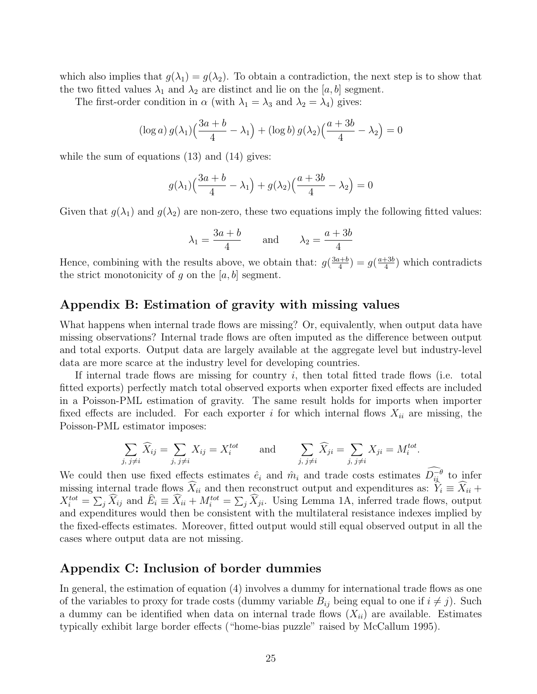which also implies that  $g(\lambda_1) = g(\lambda_2)$ . To obtain a contradiction, the next step is to show that the two fitted values  $\lambda_1$  and  $\lambda_2$  are distinct and lie on the [a, b] segment.

The first-order condition in  $\alpha$  (with  $\lambda_1 = \lambda_3$  and  $\lambda_2 = \lambda_4$ ) gives:

$$
(\log a) g(\lambda_1) \left(\frac{3a+b}{4} - \lambda_1\right) + (\log b) g(\lambda_2) \left(\frac{a+3b}{4} - \lambda_2\right) = 0
$$

while the sum of equations (13) and (14) gives:

$$
g(\lambda_1)\left(\frac{3a+b}{4}-\lambda_1\right)+g(\lambda_2)\left(\frac{a+3b}{4}-\lambda_2\right)=0
$$

Given that  $g(\lambda_1)$  and  $g(\lambda_2)$  are non-zero, these two equations imply the following fitted values:

$$
\lambda_1 = \frac{3a+b}{4}
$$
 and  $\lambda_2 = \frac{a+3b}{4}$ 

Hence, combining with the results above, we obtain that:  $g(\frac{3a+b}{4})$  $\frac{a+b}{4}) = g(\frac{a+3b}{4})$  $\frac{+3b}{4}$ ) which contradicts the strict monotonicity of q on the  $[a, b]$  segment.

## Appendix B: Estimation of gravity with missing values

What happens when internal trade flows are missing? Or, equivalently, when output data have missing observations? Internal trade flows are often imputed as the difference between output and total exports. Output data are largely available at the aggregate level but industry-level data are more scarce at the industry level for developing countries.

If internal trade flows are missing for country  $i$ , then total fitted trade flows (i.e. total fitted exports) perfectly match total observed exports when exporter fixed effects are included in a Poisson-PML estimation of gravity. The same result holds for imports when importer fixed effects are included. For each exporter i for which internal flows  $X_{ii}$  are missing, the Poisson-PML estimator imposes:

$$
\sum_{j, j \neq i} \widehat{X}_{ij} = \sum_{j, j \neq i} X_{ij} = X_i^{tot} \quad \text{and} \quad \sum_{j, j \neq i} \widehat{X}_{ji} = \sum_{j, j \neq i} X_{ji} = M_i^{tot}.
$$

We could then use fixed effects estimates  $\hat{e}_i$  and  $\hat{m}_i$  and trade costs estimates  $D_{i\&}^{-\theta}$  to infer missing internal trade flows  $\widehat{X}_{ii}$  and then reconstruct output and expenditures as:  $\widehat{Y}_i \equiv \widehat{X}_{ii} +$  $X_i^{tot} = \sum_j \widehat{X}_{ij}$  and  $\widehat{E}_i \equiv \widehat{X}_{ii} + M_i^{tot} = \sum_j \widehat{X}_{ji}$ . Using Lemma 1A, inferred trade flows, output and expenditures would then be consistent with the multilateral resistance indexes implied by the fixed-effects estimates. Moreover, fitted output would still equal observed output in all the cases where output data are not missing.

### Appendix C: Inclusion of border dummies

In general, the estimation of equation (4) involves a dummy for international trade flows as one of the variables to proxy for trade costs (dummy variable  $B_{ij}$  being equal to one if  $i \neq j$ ). Such a dummy can be identified when data on internal trade flows  $(X_{ii})$  are available. Estimates typically exhibit large border effects ("home-bias puzzle" raised by McCallum 1995).